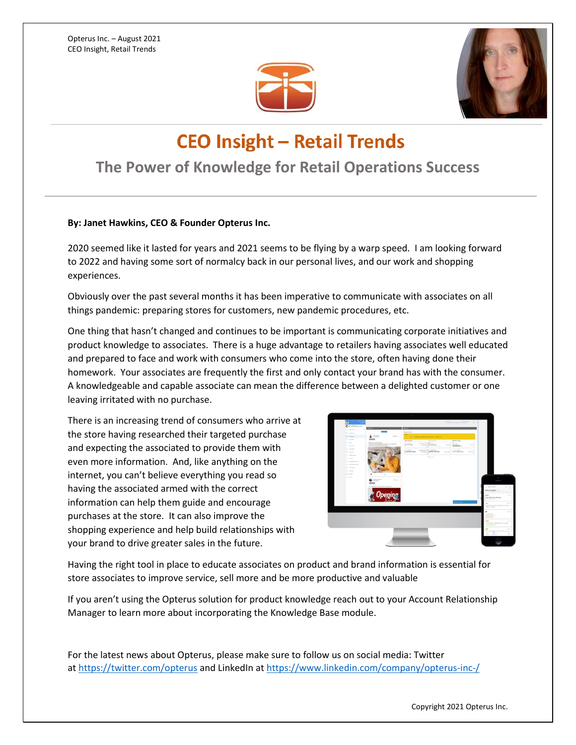



## **CEO Insight - Retail Trends**

## **The Power of Knowledge for Retail Operations Success**

## **By: Janet Hawkins, CEO & Founder Opterus Inc.**

2020 seemed like it lasted for years and 2021 seems to be flying by a warp speed. I am looking forward to 2022 and having some sort of normalcy back in our personal lives, and our work and shopping experiences.

Obviously over the past several months it has been imperative to communicate with associates on all things pandemic: preparing stores for customers, new pandemic procedures, etc.

One thing that hasn't changed and continues to be important is communicating corporate initiatives and product knowledge to associates. There is a huge advantage to retailers having associates well educated and prepared to face and work with consumers who come into the store, often having done their homework. Your associates are frequently the first and only contact your brand has with the consumer. A knowledgeable and capable associate can mean the difference between a delighted customer or one leaving irritated with no purchase.

There is an increasing trend of consumers who arrive at the store having researched their targeted purchase and expecting the associated to provide them with even more information. And, like anything on the internet, you can't believe everything you read so having the associated armed with the correct information can help them guide and encourage purchases at the store. It can also improve the shopping experience and help build relationships with your brand to drive greater sales in the future.



Having the right tool in place to educate associates on product and brand information is essential for store associates to improve service, sell more and be more productive and valuable

If you aren't using the Opterus solution for product knowledge reach out to your Account Relationship Manager to learn more about incorporating the Knowledge Base module.

For the latest news about Opterus, please make sure to follow us on social media: Twitter at <https://twitter.com/opterus> and LinkedIn at <https://www.linkedin.com/company/opterus-inc-/>